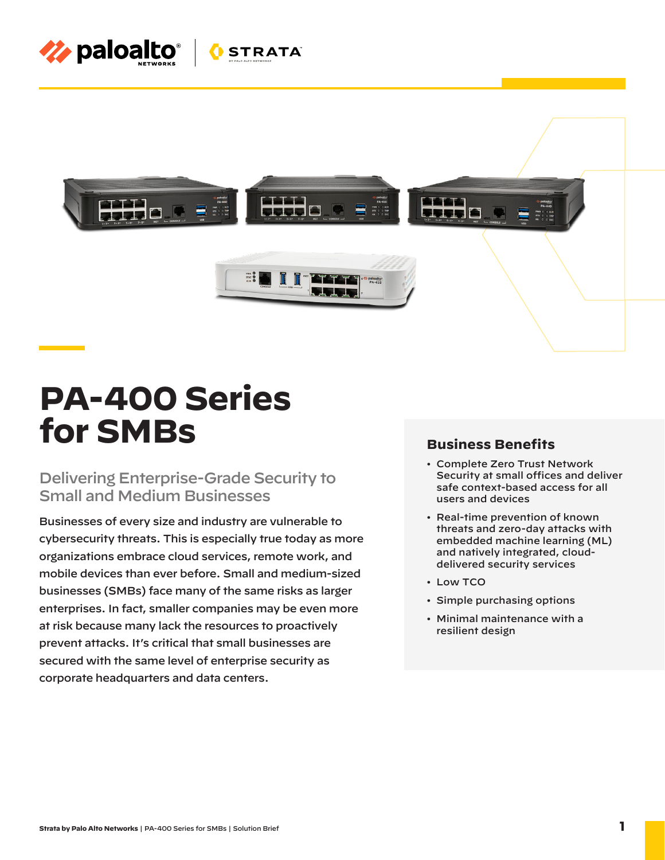



# **PA-400 Series for SMBs**

### Delivering Enterprise-Grade Security to Small and Medium Businesses

Businesses of every size and industry are vulnerable to cybersecurity threats. This is especially true today as more organizations embrace cloud services, remote work, and mobile devices than ever before. Small and medium-sized businesses (SMBs) face many of the same risks as larger enterprises. In fact, smaller companies may be even more at risk because many lack the resources to proactively prevent attacks. It's critical that small businesses are secured with the same level of enterprise security as corporate headquarters and data centers.

### **Business Benefits**

- Complete Zero Trust Network Security at small offices and deliver safe context-based access for all users and devices
- Real-time prevention of known threats and zero-day attacks with embedded machine learning (ML) and natively integrated, clouddelivered security services
- Low TCO
- Simple purchasing options
- Minimal maintenance with a resilient design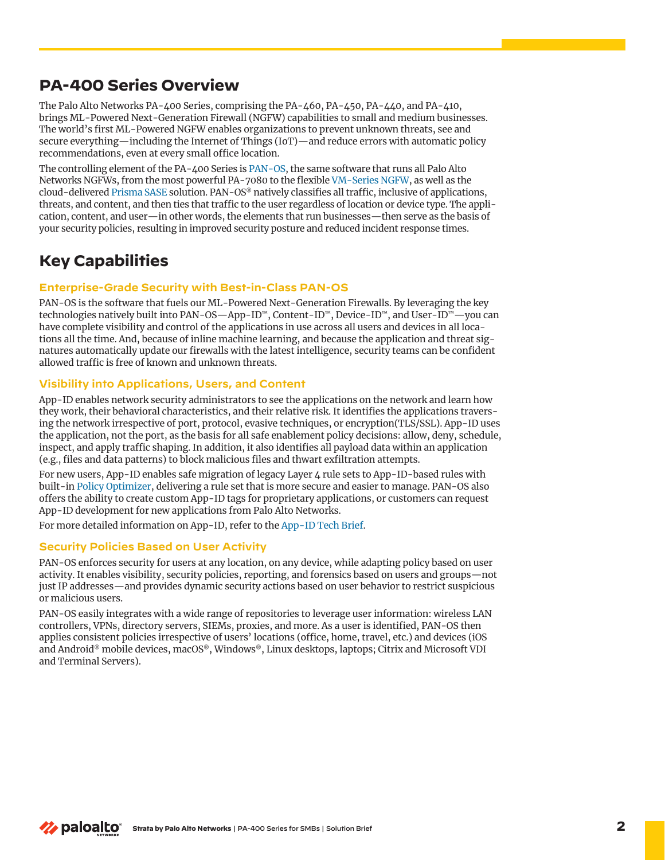### **PA-400 Series Overview**

The Palo Alto Networks PA-400 Series, comprising the PA-460, PA-450, PA-440, and PA-410, brings ML-Powered Next-Generation Firewall (NGFW) capabilities to small and medium businesses. The world's first ML-Powered NGFW enables organizations to prevent unknown threats, see and secure everything—including the Internet of Things (IoT)—and reduce errors with automatic policy recommendations, even at every small office location.

The controlling element of the PA-400 Series is [PAN-OS](https://docs.paloaltonetworks.com/pan-os), the same software that runs all Palo Alto Networks NGFWs, from the most powerful PA-7080 to the flexible [VM-Series NGFW,](https://www.paloaltonetworks.com/prisma/vm-series) as well as the cloud-delivered [Prisma SASE](https://www.paloaltonetworks.com/prisma/access) solution. PAN-OS® natively classifies all traffic, inclusive of applications, threats, and content, and then ties that traffic to the user regardless of location or device type. The application, content, and user—in other words, the elements that run businesses—then serve as the basis of your security policies, resulting in improved security posture and reduced incident response times.

## **Key Capabilities**

#### **Enterprise-Grade Security with Best-in-Class PAN-OS**

PAN-OS is the software that fuels our ML-Powered Next-Generation Firewalls. By leveraging the key technologies natively built into PAN-OS—App-ID™, Content-ID™, Device-ID™, and User-ID™—you can have complete visibility and control of the applications in use across all users and devices in all locations all the time. And, because of inline machine learning, and because the application and threat signatures automatically update our firewalls with the latest intelligence, security teams can be confident allowed traffic is free of known and unknown threats.

#### **Visibility into Applications, Users, and Content**

App-ID enables network security administrators to see the applications on the network and learn how they work, their behavioral characteristics, and their relative risk. It identifies the applications traversing the network irrespective of port, protocol, evasive techniques, or encryption(TLS/SSL). App-ID uses the application, not the port, as the basis for all safe enablement policy decisions: allow, deny, schedule, inspect, and apply traffic shaping. In addition, it also identifies all payload data within an application (e.g., files and data patterns) to block malicious files and thwart exfiltration attempts.

For new users, App-ID enables safe migration of legacy Layer  $\mu$  rule sets to App-ID-based rules with built-in [Policy Optimizer](https://docs.paloaltonetworks.com/pan-os/10-1/pan-os-admin/app-id/security-policy-rule-optimization.html), delivering a rule set that is more secure and easier to manage. PAN-OS also offers the ability to create custom App-ID tags for proprietary applications, or customers can request App-ID development for new applications from Palo Alto Networks.

For more detailed information on App-ID, refer to the [App-ID Tech Brief](https://www.paloaltonetworks.com/resources/techbriefs/app-id-tech-brief.html).

#### **Security Policies Based on User Activity**

PAN-OS enforces security for users at any location, on any device, while adapting policy based on user activity. It enables visibility, security policies, reporting, and forensics based on users and groups—not just IP addresses—and provides dynamic security actions based on user behavior to restrict suspicious or malicious users.

PAN-OS easily integrates with a wide range of repositories to leverage user information: wireless LAN controllers, VPNs, directory servers, SIEMs, proxies, and more. As a user is identified, PAN-OS then applies consistent policies irrespective of users' locations (office, home, travel, etc.) and devices (iOS and Android® mobile devices, macOS®, Windows®, Linux desktops, laptops; Citrix and Microsoft VDI and Terminal Servers).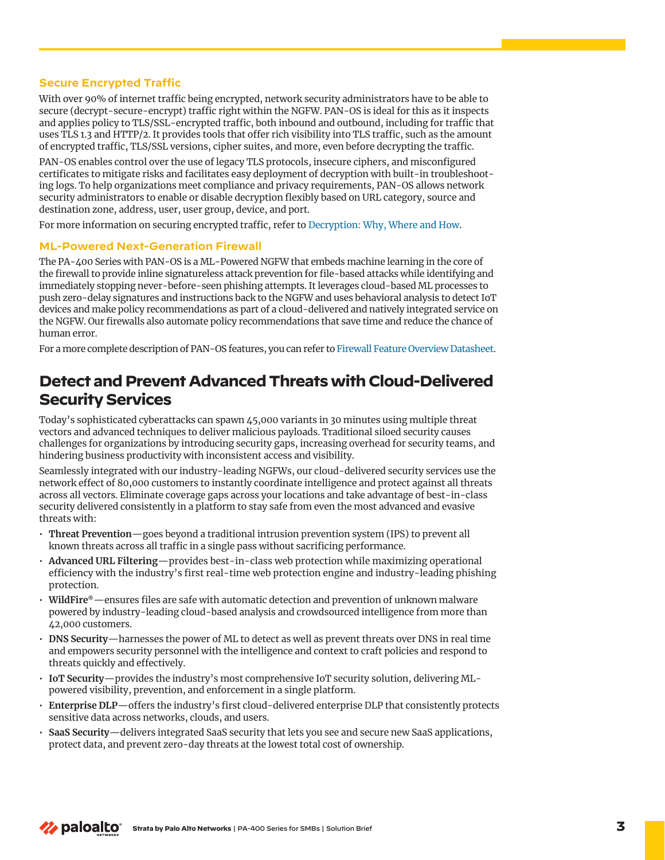#### **Secure Encrypted Traffic**

With over 90% of internet traffic being encrypted, network security administrators have to be able to secure (decrypt-secure-encrypt) traffic right within the NGFW. PAN-OS is ideal for this as it inspects and applies policy to TLS/SSL-encrypted traffic, both inbound and outbound, including for traffic that uses TLS 1.3 and HTTP/2. It provides tools that offer rich visibility into TLS traffic, such as the amount of encrypted traffic, TLS/SSL versions, cipher suites, and more, even before decrypting the traffic.

PAN-OS enables control over the use of legacy TLS protocols, insecure ciphers, and misconfigured certificates to mitigate risks and facilitates easy deployment of decryption with built-in troubleshooting logs. To help organizations meet compliance and privacy requirements, PAN-OS allows network security administrators to enable or disable decryption flexibly based on URL category, source and destination zone, address, user, user group, device, and port.

For more information on securing encrypted traffic, refer to [Decryption: Why, Where and How](https://www.paloaltonetworks.com/resources/whitepapers/decryption-why-where-and-how).

#### **ML-Powered Next-Generation Firewall**

The PA-400 Series with PAN-OS is a ML-Powered NGFW that embeds machine learning in the core of the firewall to provide inline signatureless attack prevention for file-based attacks while identifying and immediately stopping never-before-seen phishing attempts. It leverages cloud-based ML processes to push zero-delay signatures and instructions back to the NGFW and uses behavioral analysis to detect IoT devices and make policy recommendations as part of a cloud-delivered and natively integrated service on the NGFW. Our firewalls also automate policy recommendations that save time and reduce the chance of human error.

For a more complete description of PAN-OS features, you can refer to [Firewall Feature Overview Datasheet](https://www.paloaltonetworks.com/resources/datasheets/firewall-feature-overview-datasheet).

### **Detect and Prevent Advanced Threats with Cloud-Delivered Security Services**

Today's sophisticated cyberattacks can spawn 45,000 variants in 30 minutes using multiple threat vectors and advanced techniques to deliver malicious payloads. Traditional siloed security causes challenges for organizations by introducing security gaps, increasing overhead for security teams, and hindering business productivity with inconsistent access and visibility.

Seamlessly integrated with our industry-leading NGFWs, our cloud-delivered security services use the network effect of 80,000 customers to instantly coordinate intelligence and protect against all threats across all vectors. Eliminate coverage gaps across your locations and take advantage of best-in-class security delivered consistently in a platform to stay safe from even the most advanced and evasive threats with:

- **Threat Prevention**—goes beyond a traditional intrusion prevention system (IPS) to prevent all known threats across all traffic in a single pass without sacrificing performance.
- **Advanced URL Filtering**—provides best-in-class web protection while maximizing operational efficiency with the industry's first real-time web protection engine and industry-leading phishing protection.
- **WildFire®**—ensures files are safe with automatic detection and prevention of unknown malware powered by industry-leading cloud-based analysis and crowdsourced intelligence from more than 42,000 customers.
- **DNS Security**—harnesses the power of ML to detect as well as prevent threats over DNS in real time and empowers security personnel with the intelligence and context to craft policies and respond to threats quickly and effectively.
- **IoT Security**—provides the industry's most comprehensive IoT security solution, delivering MLpowered visibility, prevention, and enforcement in a single platform.
- **Enterprise DLP**—offers the industry's first cloud-delivered enterprise DLP that consistently protects sensitive data across networks, clouds, and users.
- **SaaS Security**—delivers integrated SaaS security that lets you see and secure new SaaS applications, protect data, and prevent zero-day threats at the lowest total cost of ownership.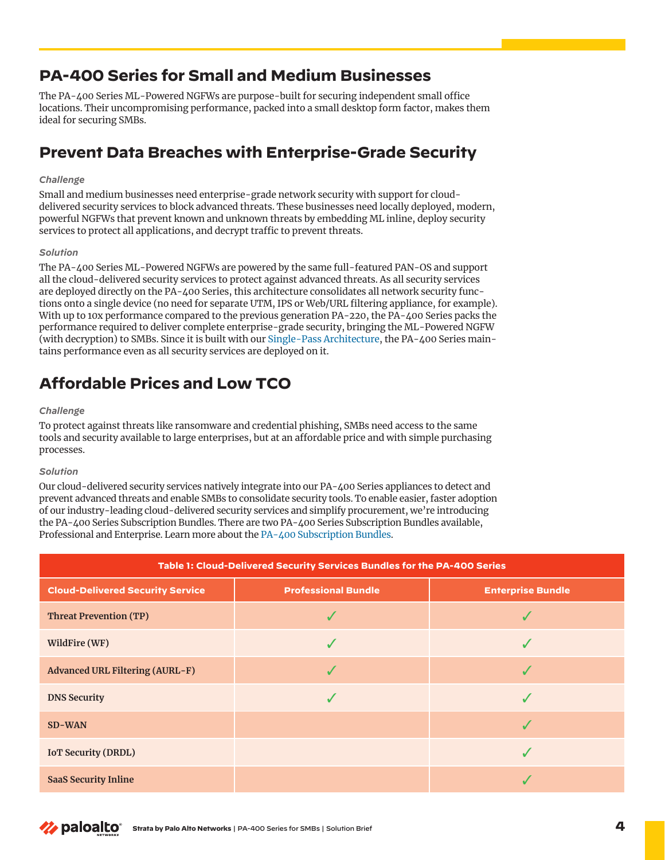### **PA-400 Series for Small and Medium Businesses**

The PA-400 Series ML-Powered NGFWs are purpose-built for securing independent small office locations. Their uncompromising performance, packed into a small desktop form factor, makes them ideal for securing SMBs.

# **Prevent Data Breaches with Enterprise-Grade Security**

#### *Challenge*

Small and medium businesses need enterprise-grade network security with support for clouddelivered security services to block advanced threats. These businesses need locally deployed, modern, powerful NGFWs that prevent known and unknown threats by embedding ML inline, deploy security services to protect all applications, and decrypt traffic to prevent threats.

#### *Solution*

The PA-400 Series ML-Powered NGFWs are powered by the same full-featured PAN-OS and support all the cloud-delivered security services to protect against advanced threats. As all security services are deployed directly on the PA-400 Series, this architecture consolidates all network security functions onto a single device (no need for separate UTM, IPS or Web/URL filtering appliance, for example). With up to 10x performance compared to the previous generation PA-220, the PA-400 Series packs the performance required to deliver complete enterprise-grade security, bringing the ML-Powered NGFW (with decryption) to SMBs. Since it is built with our [Single-Pass Architecture,](https://www.paloaltonetworks.com/resources/whitepapers/single-pass-parallel-processing-architecture) the PA-400 Series maintains performance even as all security services are deployed on it.

# **Affordable Prices and Low TCO**

#### *Challenge*

To protect against threats like ransomware and credential phishing, SMBs need access to the same tools and security available to large enterprises, but at an affordable price and with simple purchasing processes.

#### *Solution*

Our cloud-delivered security services natively integrate into our PA-400 Series appliances to detect and prevent advanced threats and enable SMBs to consolidate security tools. To enable easier, faster adoption of our industry-leading cloud-delivered security services and simplify procurement, we're introducing the PA-400 Series Subscription Bundles. There are two PA-400 Series Subscription Bundles available, Professional and Enterprise. Learn more about the [PA-400 Subscription Bundles](https://www.paloaltonetworks.com/blog/network-security/the-pa-400-subscription-bundles-security-consolidation/).

| Table 1: Cloud-Delivered Security Services Bundles for the PA-400 Series |                            |                          |
|--------------------------------------------------------------------------|----------------------------|--------------------------|
| <b>Cloud-Delivered Security Service</b>                                  | <b>Professional Bundle</b> | <b>Enterprise Bundle</b> |
| <b>Threat Prevention (TP)</b>                                            |                            |                          |
| WildFire (WF)                                                            |                            |                          |
| <b>Advanced URL Filtering (AURL-F)</b>                                   |                            |                          |
| <b>DNS Security</b>                                                      |                            |                          |
| <b>SD-WAN</b>                                                            |                            |                          |
| <b>IOT Security (DRDL)</b>                                               |                            |                          |
| <b>SaaS Security Inline</b>                                              |                            |                          |